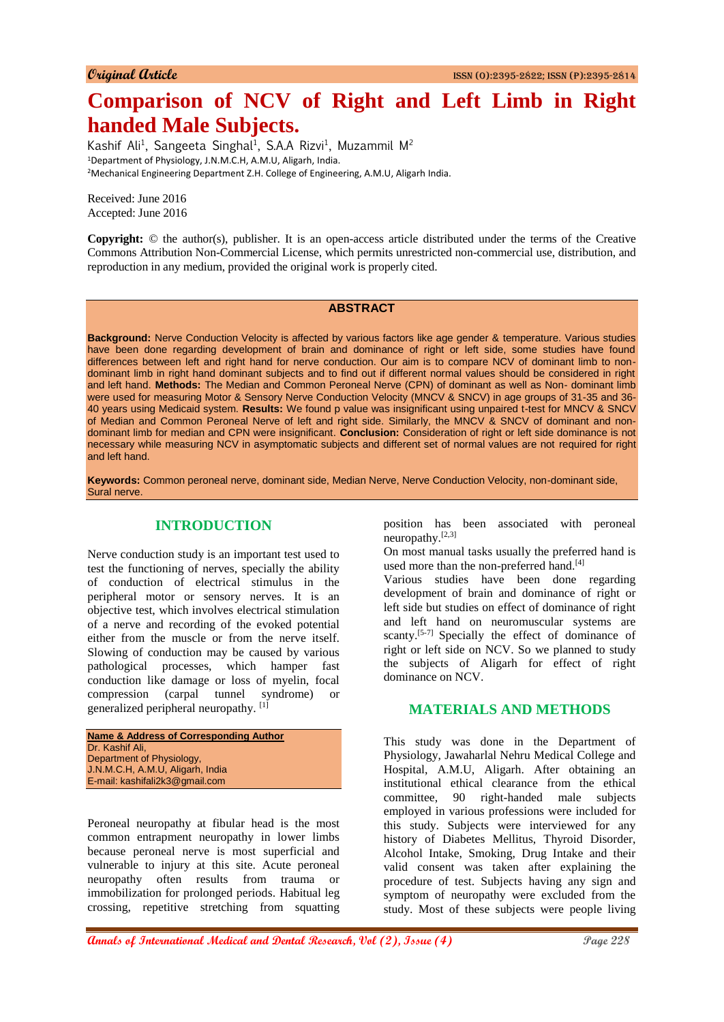# **Comparison of NCV of Right and Left Limb in Right handed Male Subjects.**

Kashif Ali<sup>1</sup>, Sangeeta Singhal<sup>1</sup>, S.A.A Rizvi<sup>1</sup>, Muzammil M<sup>2</sup> <sup>1</sup>Department of Physiology, J.N.M.C.H, A.M.U, Aligarh, India. <sup>2</sup>Mechanical Engineering Department Z.H. College of Engineering, A.M.U, Aligarh India.

Received: June 2016 Accepted: June 2016

**Copyright:** © the author(s), publisher. It is an open-access article distributed under the terms of the Creative Commons Attribution Non-Commercial License, which permits unrestricted non-commercial use, distribution, and reproduction in any medium, provided the original work is properly cited.

### **ABSTRACT**

**Background:** Nerve Conduction Velocity is affected by various factors like age gender & temperature. Various studies have been done regarding development of brain and dominance of right or left side, some studies have found differences between left and right hand for nerve conduction. Our aim is to compare NCV of dominant limb to nondominant limb in right hand dominant subjects and to find out if different normal values should be considered in right and left hand. **Methods:** The Median and Common Peroneal Nerve (CPN) of dominant as well as Non- dominant limb were used for measuring Motor & Sensory Nerve Conduction Velocity (MNCV & SNCV) in age groups of 31-35 and 36- 40 years using Medicaid system. **Results:** We found p value was insignificant using unpaired t-test for MNCV & SNCV of Median and Common Peroneal Nerve of left and right side. Similarly, the MNCV & SNCV of dominant and nondominant limb for median and CPN were insignificant. **Conclusion:** Consideration of right or left side dominance is not necessary while measuring NCV in asymptomatic subjects and different set of normal values are not required for right and left hand.

**Keywords:** Common peroneal nerve, dominant side, Median Nerve, Nerve Conduction Velocity, non-dominant side, Sural nerve.

# **INTRODUCTION**

Nerve conduction study is an important test used to test the functioning of nerves, specially the ability of conduction of electrical stimulus in the peripheral motor or sensory nerves. It is an objective test, which involves electrical stimulation of a nerve and recording of the evoked potential either from the muscle or from the nerve itself. Slowing of conduction may be caused by various pathological processes, which hamper fast conduction like damage or loss of myelin, focal compression (carpal tunnel syndrome) or generalized peripheral neuropathy. [1]

```
Name & Address of Corresponding Author
Dr. Kashif Ali,
Department of Physiology,
J.N.M.C.H, A.M.U, Aligarh, India
E-mail: kashifali2k3@gmail.com
```
Peroneal neuropathy at fibular head is the most common entrapment neuropathy in lower limbs because peroneal nerve is most superficial and vulnerable to injury at this site. Acute peroneal neuropathy often results from trauma or immobilization for prolonged periods. Habitual leg crossing, repetitive stretching from squatting

position has been associated with peroneal neuropathy.[2,3]

On most manual tasks usually the preferred hand is used more than the non-preferred hand.<sup>[4]</sup>

Various studies have been done regarding development of brain and dominance of right or left side but studies on effect of dominance of right and left hand on neuromuscular systems are scanty.<sup>[5-7]</sup> Specially the effect of dominance of right or left side on NCV. So we planned to study the subjects of Aligarh for effect of right dominance on NCV.

# **MATERIALS AND METHODS**

This study was done in the Department of Physiology, Jawaharlal Nehru Medical College and Hospital, A.M.U, Aligarh. After obtaining an institutional ethical clearance from the ethical committee, 90 right-handed male subjects employed in various professions were included for this study. Subjects were interviewed for any history of Diabetes Mellitus, Thyroid Disorder, Alcohol Intake, Smoking, Drug Intake and their valid consent was taken after explaining the procedure of test. Subjects having any sign and symptom of neuropathy were excluded from the study. Most of these subjects were people living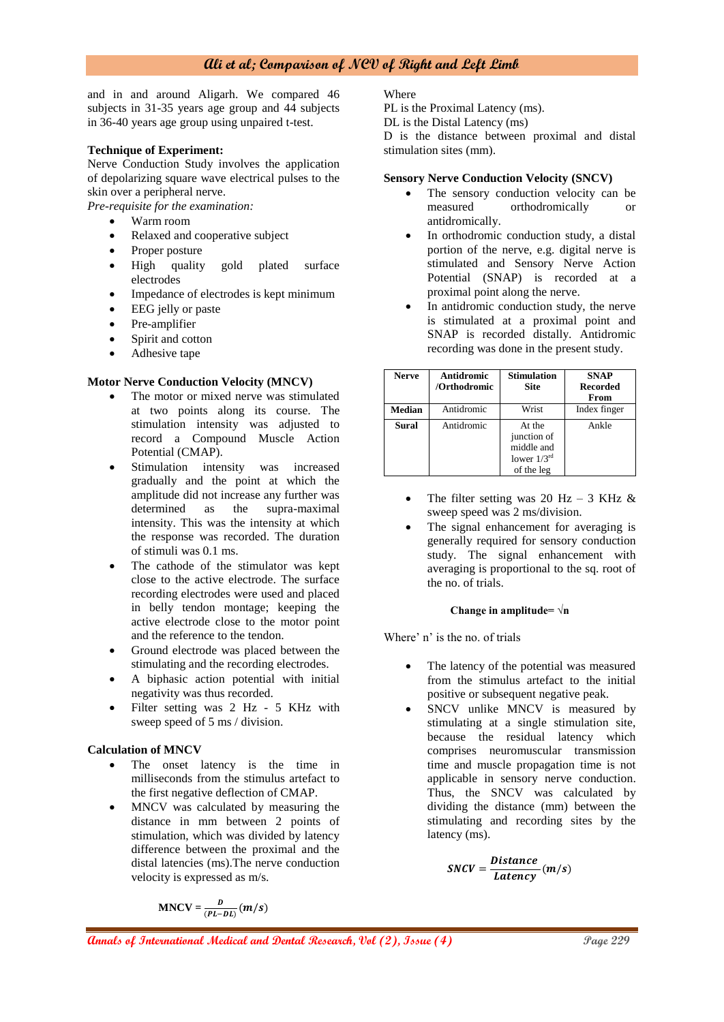# **Ali et al; Comparison of NCV of Right and Left Limb**

and in and around Aligarh. We compared 46 subjects in 31-35 years age group and 44 subjects in 36-40 years age group using unpaired t-test.

#### **Technique of Experiment:**

Nerve Conduction Study involves the application of depolarizing square wave electrical pulses to the skin over a peripheral nerve.

*Pre-requisite for the examination:*

- Warm room
- Relaxed and cooperative subject
- Proper posture
- High quality gold plated surface electrodes
- Impedance of electrodes is kept minimum
- EEG jelly or paste
- Pre-amplifier
- Spirit and cotton
- Adhesive tape

#### **Motor Nerve Conduction Velocity (MNCV)**

- The motor or mixed nerve was stimulated at two points along its course. The stimulation intensity was adjusted to record a Compound Muscle Action Potential (CMAP).
- Stimulation intensity was increased gradually and the point at which the amplitude did not increase any further was determined as the supra-maximal intensity. This was the intensity at which the response was recorded. The duration of stimuli was 0.1 ms.
- The cathode of the stimulator was kept close to the active electrode. The surface recording electrodes were used and placed in belly tendon montage; keeping the active electrode close to the motor point and the reference to the tendon.
- Ground electrode was placed between the stimulating and the recording electrodes.
- A biphasic action potential with initial negativity was thus recorded.
- Filter setting was 2 Hz 5 KHz with sweep speed of 5 ms / division.

#### **Calculation of MNCV**

- The onset latency is the time in milliseconds from the stimulus artefact to the first negative deflection of CMAP.
- MNCV was calculated by measuring the distance in mm between 2 points of stimulation, which was divided by latency difference between the proximal and the distal latencies (ms).The nerve conduction velocity is expressed as m/s.

$$
MNCV = \frac{D}{(PL-DL)}(m/s)
$$

**Where** 

PL is the Proximal Latency (ms).

DL is the Distal Latency (ms)

D is the distance between proximal and distal stimulation sites (mm).

#### **Sensory Nerve Conduction Velocity (SNCV)**

- The sensory conduction velocity can be measured orthodromically or antidromically.
- In orthodromic conduction study, a distal portion of the nerve, e.g. digital nerve is stimulated and Sensory Nerve Action Potential (SNAP) is recorded at a proximal point along the nerve.
- In antidromic conduction study, the nerve is stimulated at a proximal point and SNAP is recorded distally. Antidromic recording was done in the present study.

| <b>Nerve</b>  | Antidromic<br>/Orthodromic | <b>Stimulation</b><br><b>Site</b>                                     | <b>SNAP</b><br><b>Recorded</b><br>From |
|---------------|----------------------------|-----------------------------------------------------------------------|----------------------------------------|
| <b>Median</b> | Antidromic                 | Wrist                                                                 | Index finger                           |
| Sural         | Antidromic                 | At the<br>junction of<br>middle and<br>lower $1/3^{rd}$<br>of the leg | Ankle                                  |

- The filter setting was 20 Hz 3 KHz  $&$ sweep speed was 2 ms/division.
- The signal enhancement for averaging is generally required for sensory conduction study. The signal enhancement with averaging is proportional to the sq. root of the no. of trials.

#### **Change in amplitude= √n**

Where' n' is the no. of trials

- The latency of the potential was measured from the stimulus artefact to the initial positive or subsequent negative peak.
- SNCV unlike MNCV is measured by stimulating at a single stimulation site, because the residual latency which comprises neuromuscular transmission time and muscle propagation time is not applicable in sensory nerve conduction. Thus, the SNCV was calculated by dividing the distance (mm) between the stimulating and recording sites by the latency (ms).

$$
SNCV = \frac{Distance}{Latency}(m/s)
$$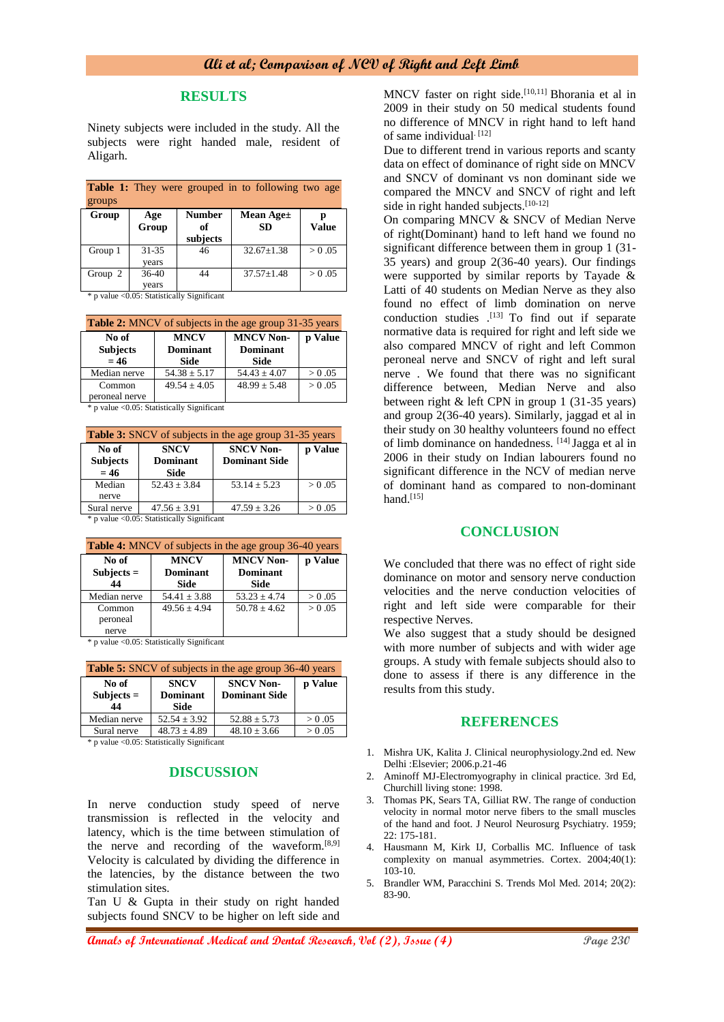# **RESULTS**

Ninety subjects were included in the study. All the subjects were right handed male, resident of Aligarh.

| <b>Table 1:</b> They were grouped in to following two age<br>groups |                    |                                 |                        |              |
|---------------------------------------------------------------------|--------------------|---------------------------------|------------------------|--------------|
| Group                                                               | Age<br>Group       | <b>Number</b><br>of<br>subjects | Mean Age±<br><b>SD</b> | <b>Value</b> |
| Group 1                                                             | $31 - 35$<br>years | 46                              | $32.67 \pm 1.38$       | > 0.05       |
| Group $2$                                                           | 36-40<br>years     | 44                              | $37.57 + 1.48$         | > 0.05       |

\* p value <0.05: Statistically Significant

| <b>Table 2:</b> MNCV of subjects in the age group 31-35 years |                  |                  |         |
|---------------------------------------------------------------|------------------|------------------|---------|
| No of                                                         | <b>MNCV</b>      | <b>MNCV Non-</b> | p Value |
| <b>Subjects</b>                                               | <b>Dominant</b>  | <b>Dominant</b>  |         |
| $= 46$                                                        | <b>Side</b>      | Side             |         |
| Median nerve                                                  | $54.38 \pm 5.17$ | $54.43 \pm 4.07$ | > 0.05  |
| Common                                                        | $49.54 \pm 4.05$ | $48.99 \pm 5.48$ | > 0.05  |
| peroneal nerve                                                |                  |                  |         |

\* p value <0.05: Statistically Significant

| <b>Table 3:</b> SNCV of subjects in the age group 31-35 years |                                               |                                          |         |
|---------------------------------------------------------------|-----------------------------------------------|------------------------------------------|---------|
| No of<br><b>Subjects</b><br>$= 46$                            | <b>SNCV</b><br><b>Dominant</b><br><b>Side</b> | <b>SNCV Non-</b><br><b>Dominant Side</b> | p Value |
| Median<br>nerve                                               | $52.43 \pm 3.84$                              | $53.14 + 5.23$                           | > 0.05  |
| Sural nerve                                                   | $47.56 \pm 3.91$                              | $47.59 \pm 3.26$                         | > 0.05  |

\* p value <0.05: Statistically Significant

| <b>Table 4:</b> MNCV of subjects in the age group 36-40 years |                                        |                                                    |         |  |
|---------------------------------------------------------------|----------------------------------------|----------------------------------------------------|---------|--|
| No of<br>$Subjects =$<br>44                                   | <b>MNCV</b><br><b>Dominant</b><br>Side | <b>MNCV Non-</b><br><b>Dominant</b><br><b>Side</b> | p Value |  |
| Median nerve                                                  | $54.41 \pm 3.88$                       | $53.23 \pm 4.74$                                   | > 0.05  |  |
| Common<br>peroneal<br>nerve                                   | $49.56 \pm 4.94$                       | $50.78 + 4.62$                                     | > 0.05  |  |

\* p value <0.05: Statistically Significant

| <b>Table 5:</b> SNCV of subjects in the age group 36-40 years |                                        |                                          |         |  |
|---------------------------------------------------------------|----------------------------------------|------------------------------------------|---------|--|
| No of<br>$Subjects =$<br>44                                   | <b>SNCV</b><br><b>Dominant</b><br>Side | <b>SNCV Non-</b><br><b>Dominant Side</b> | p Value |  |
| Median nerve                                                  | $52.54 \pm 3.92$                       | $52.88 \pm 5.73$                         | > 0.05  |  |
| Sural nerve                                                   | $48.73 \pm 4.89$                       | $48.10 \pm 3.66$                         | > 0.05  |  |

\* p value <0.05: Statistically Significant

# **DISCUSSION**

In nerve conduction study speed of nerve transmission is reflected in the velocity and latency, which is the time between stimulation of the nerve and recording of the waveform.<sup>[8,9]</sup> Velocity is calculated by dividing the difference in the latencies, by the distance between the two stimulation sites.

Tan U & Gupta in their study on right handed subjects found SNCV to be higher on left side and

MNCV faster on right side.<sup>[10,11]</sup> Bhorania et al in 2009 in their study on 50 medical students found no difference of MNCV in right hand to left hand of same individual. [12]

Due to different trend in various reports and scanty data on effect of dominance of right side on MNCV and SNCV of dominant vs non dominant side we compared the MNCV and SNCV of right and left side in right handed subjects.<sup>[10-12]</sup>

On comparing MNCV & SNCV of Median Nerve of right(Dominant) hand to left hand we found no significant difference between them in group 1 (31- 35 years) and group 2(36-40 years). Our findings were supported by similar reports by Tayade & Latti of 40 students on Median Nerve as they also found no effect of limb domination on nerve conduction studies .<sup>[13]</sup> To find out if separate normative data is required for right and left side we also compared MNCV of right and left Common peroneal nerve and SNCV of right and left sural nerve . We found that there was no significant difference between, Median Nerve and also between right & left CPN in group 1 (31-35 years) and group 2(36-40 years). Similarly, jaggad et al in their study on 30 healthy volunteers found no effect of limb dominance on handedness. [14] Jagga et al in 2006 in their study on Indian labourers found no significant difference in the NCV of median nerve of dominant hand as compared to non-dominant hand. $[15]$ 

#### **CONCLUSION**

We concluded that there was no effect of right side dominance on motor and sensory nerve conduction velocities and the nerve conduction velocities of right and left side were comparable for their respective Nerves.

We also suggest that a study should be designed with more number of subjects and with wider age groups. A study with female subjects should also to done to assess if there is any difference in the results from this study.

#### **REFERENCES**

- 1. Mishra UK, Kalita J. Clinical neurophysiology.2nd ed. New Delhi :Elsevier; 2006.p.21-46
- 2. Aminoff MJ-Electromyography in clinical practice. 3rd Ed, Churchill living stone: 1998.
- Thomas PK, Sears TA, Gilliat RW. The range of conduction velocity in normal motor nerve fibers to the small muscles of the hand and foot. J Neurol Neurosurg Psychiatry. 1959; 22: 175-181.
- 4. Hausmann M, Kirk IJ, Corballis MC. Influence of task complexity on manual asymmetries. Cortex. 2004;40(1): 103-10.
- 5. Brandler WM, Paracchini S. Trends Mol Med. 2014; 20(2): 83-90.